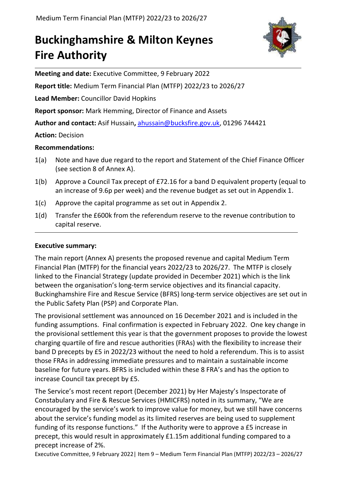# **Buckinghamshire & Milton Keynes Fire Authority**



**Meeting and date:** Executive Committee, 9 February 2022

**Report title:** Medium Term Financial Plan (MTFP) 2022/23 to 2026/27

**Lead Member:** Councillor David Hopkins

**Report sponsor:** Mark Hemming, Director of Finance and Assets

**Author and contact:** Asif Hussain**,** [ahussain@bucksfire.gov.uk,](mailto:ahussain@bucksfire.gov.uk) 01296 744421

**Action:** Decision

# **Recommendations:**

- 1(a) Note and have due regard to the report and Statement of the Chief Finance Officer (see section 8 of Annex A).
- 1(b) Approve a Council Tax precept of £72.16 for a band D equivalent property (equal to an increase of 9.6p per week) and the revenue budget as set out in Appendix 1.
- 1(c) Approve the capital programme as set out in Appendix 2.
- 1(d) Transfer the £600k from the referendum reserve to the revenue contribution to capital reserve.

# **Executive summary:**

The main report (Annex A) presents the proposed revenue and capital Medium Term Financial Plan (MTFP) for the financial years 2022/23 to 2026/27. The MTFP is closely linked to the Financial Strategy (update provided in December 2021) which is the link between the organisation's long-term service objectives and its financial capacity. Buckinghamshire Fire and Rescue Service (BFRS) long-term service objectives are set out in the Public Safety Plan (PSP) and Corporate Plan.

The provisional settlement was announced on 16 December 2021 and is included in the funding assumptions. Final confirmation is expected in February 2022. One key change in the provisional settlement this year is that the government proposes to provide the lowest charging quartile of fire and rescue authorities (FRAs) with the flexibility to increase their band D precepts by £5 in 2022/23 without the need to hold a referendum. This is to assist those FRAs in addressing immediate pressures and to maintain a sustainable income baseline for future years. BFRS is included within these 8 FRA's and has the option to increase Council tax precept by £5.

The Service's most recent report (December 2021) by Her Majesty's Inspectorate of Constabulary and Fire & Rescue Services (HMICFRS) noted in its summary, "We are encouraged by the service's work to improve value for money, but we still have concerns about the service's funding model as its limited [reserves](https://www.justiceinspectorates.gov.uk/hmicfrs/glossary/reserves/) are being used to supplement funding of its response functions." If the Authority were to approve a £5 increase in precept, this would result in approximately £1.15m additional funding compared to a precept increase of 2%.

Executive Committee, 9 February 2022| Item 9 – Medium Term Financial Plan (MTFP) 2022/23 – 2026/27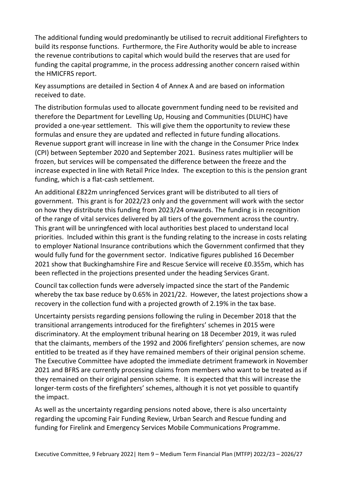The additional funding would predominantly be utilised to recruit additional Firefighters to build its response functions. Furthermore, the Fire Authority would be able to increase the revenue contributions to capital which would build the reserves that are used for funding the capital programme, in the process addressing another concern raised within the HMICFRS report.

Key assumptions are detailed in Section 4 of Annex A and are based on information received to date.

The distribution formulas used to allocate government funding need to be revisited and therefore the Department for Levelling Up, Housing and Communities (DLUHC) have provided a one-year settlement. This will give them the opportunity to review these formulas and ensure they are updated and reflected in future funding allocations. Revenue support grant will increase in line with the change in the Consumer Price Index (CPI) between September 2020 and September 2021. Business rates multiplier will be frozen, but services will be compensated the difference between the freeze and the increase expected in line with Retail Price Index. The exception to this is the pension grant funding, which is a flat-cash settlement.

An additional £822m unringfenced Services grant will be distributed to all tiers of government. This grant is for 2022/23 only and the government will work with the sector on how they distribute this funding from 2023/24 onwards. The funding is in recognition of the range of vital services delivered by all tiers of the government across the country. This grant will be unringfenced with local authorities best placed to understand local priorities. Included within this grant is the funding relating to the increase in costs relating to employer National Insurance contributions which the Government confirmed that they would fully fund for the government sector. Indicative figures published 16 December 2021 show that Buckinghamshire Fire and Rescue Service will receive £0.355m, which has been reflected in the projections presented under the heading Services Grant.

Council tax collection funds were adversely impacted since the start of the Pandemic whereby the tax base reduce by 0.65% in 2021/22. However, the latest projections show a recovery in the collection fund with a projected growth of 2.19% in the tax base.

Uncertainty persists regarding pensions following the ruling in December 2018 that the transitional arrangements introduced for the firefighters' schemes in 2015 were discriminatory. At the employment tribunal hearing on 18 December 2019, it was ruled that the claimants, members of the 1992 and 2006 firefighters' pension schemes, are now entitled to be treated as if they have remained members of their original pension scheme. The Executive Committee have adopted the immediate detriment framework in November 2021 and BFRS are currently processing claims from members who want to be treated as if they remained on their original pension scheme. It is expected that this will increase the longer-term costs of the firefighters' schemes, although it is not yet possible to quantify the impact.

As well as the uncertainty regarding pensions noted above, there is also uncertainty regarding the upcoming Fair Funding Review, Urban Search and Rescue funding and funding for Firelink and Emergency Services Mobile Communications Programme.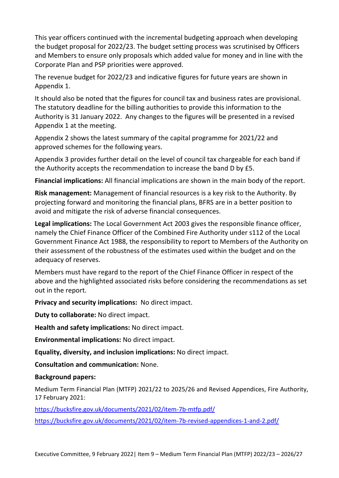This year officers continued with the incremental budgeting approach when developing the budget proposal for 2022/23. The budget setting process was scrutinised by Officers and Members to ensure only proposals which added value for money and in line with the Corporate Plan and PSP priorities were approved.

The revenue budget for 2022/23 and indicative figures for future years are shown in Appendix 1.

It should also be noted that the figures for council tax and business rates are provisional. The statutory deadline for the billing authorities to provide this information to the Authority is 31 January 2022. Any changes to the figures will be presented in a revised Appendix 1 at the meeting.

Appendix 2 shows the latest summary of the capital programme for 2021/22 and approved schemes for the following years.

Appendix 3 provides further detail on the level of council tax chargeable for each band if the Authority accepts the recommendation to increase the band D by £5.

**Financial implications:** All financial implications are shown in the main body of the report.

**Risk management:** Management of financial resources is a key risk to the Authority. By projecting forward and monitoring the financial plans, BFRS are in a better position to avoid and mitigate the risk of adverse financial consequences.

**Legal implications:** The Local Government Act 2003 gives the responsible finance officer, namely the Chief Finance Officer of the Combined Fire Authority under s112 of the Local Government Finance Act 1988, the responsibility to report to Members of the Authority on their assessment of the robustness of the estimates used within the budget and on the adequacy of reserves.

Members must have regard to the report of the Chief Finance Officer in respect of the above and the highlighted associated risks before considering the recommendations as set out in the report.

**Privacy and security implications:** No direct impact.

**Duty to collaborate:** No direct impact.

**Health and safety implications:** No direct impact.

**Environmental implications:** No direct impact.

**Equality, diversity, and inclusion implications:** No direct impact.

**Consultation and communication:** None.

#### **Background papers:**

Medium Term Financial Plan (MTFP) 2021/22 to 2025/26 and Revised Appendices, Fire Authority, 17 February 2021:

<https://bucksfire.gov.uk/documents/2021/02/item-7b-mtfp.pdf/>

<https://bucksfire.gov.uk/documents/2021/02/item-7b-revised-appendices-1-and-2.pdf/>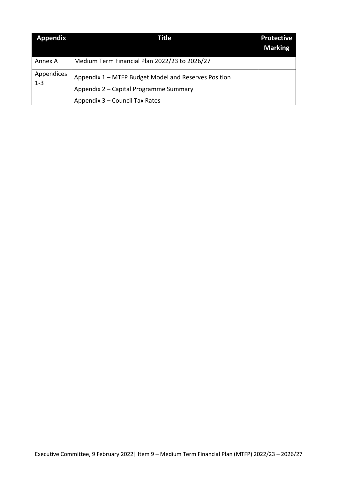| <b>Appendix</b>       | Title                                                                                                                            | <b>Protective</b><br><b>Marking</b> |
|-----------------------|----------------------------------------------------------------------------------------------------------------------------------|-------------------------------------|
| Annex A               | Medium Term Financial Plan 2022/23 to 2026/27                                                                                    |                                     |
| Appendices<br>$1 - 3$ | Appendix 1 – MTFP Budget Model and Reserves Position<br>Appendix 2 – Capital Programme Summary<br>Appendix 3 - Council Tax Rates |                                     |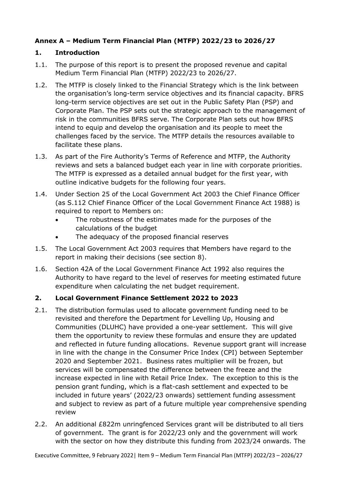# **Annex A – Medium Term Financial Plan (MTFP) 2022/23 to 2026/27**

## **1. Introduction**

- 1.1. The purpose of this report is to present the proposed revenue and capital Medium Term Financial Plan (MTFP) 2022/23 to 2026/27.
- 1.2. The MTFP is closely linked to the Financial Strategy which is the link between the organisation's long-term service objectives and its financial capacity. BFRS long-term service objectives are set out in the Public Safety Plan (PSP) and Corporate Plan. The PSP sets out the strategic approach to the management of risk in the communities BFRS serve. The Corporate Plan sets out how BFRS intend to equip and develop the organisation and its people to meet the challenges faced by the service. The MTFP details the resources available to facilitate these plans.
- 1.3. As part of the Fire Authority's Terms of Reference and MTFP, the Authority reviews and sets a balanced budget each year in line with corporate priorities. The MTFP is expressed as a detailed annual budget for the first year, with outline indicative budgets for the following four years.
- 1.4. Under Section 25 of the Local Government Act 2003 the Chief Finance Officer (as S.112 Chief Finance Officer of the Local Government Finance Act 1988) is required to report to Members on:
	- The robustness of the estimates made for the purposes of the calculations of the budget
	- The adequacy of the proposed financial reserves
- 1.5. The Local Government Act 2003 requires that Members have regard to the report in making their decisions (see section 8).
- 1.6. Section 42A of the Local Government Finance Act 1992 also requires the Authority to have regard to the level of reserves for meeting estimated future expenditure when calculating the net budget requirement.

## **2. Local Government Finance Settlement 2022 to 2023**

- 2.1. The distribution formulas used to allocate government funding need to be revisited and therefore the Department for Levelling Up, Housing and Communities (DLUHC) have provided a one-year settlement. This will give them the opportunity to review these formulas and ensure they are updated and reflected in future funding allocations. Revenue support grant will increase in line with the change in the Consumer Price Index (CPI) between September 2020 and September 2021. Business rates multiplier will be frozen, but services will be compensated the difference between the freeze and the increase expected in line with Retail Price Index. The exception to this is the pension grant funding, which is a flat-cash settlement and expected to be included in future years' (2022/23 onwards) settlement funding assessment and subject to review as part of a future multiple year comprehensive spending review
- 2.2. An additional £822m unringfenced Services grant will be distributed to all tiers of government. The grant is for 2022/23 only and the government will work with the sector on how they distribute this funding from 2023/24 onwards. The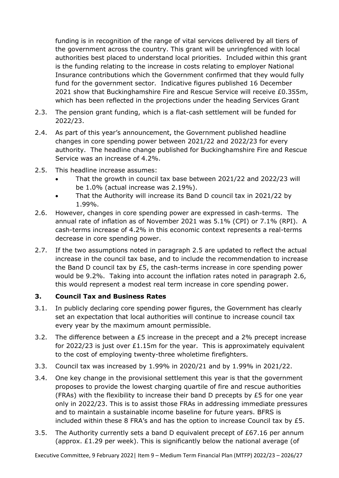funding is in recognition of the range of vital services delivered by all tiers of the government across the country. This grant will be unringfenced with local authorities best placed to understand local priorities. Included within this grant is the funding relating to the increase in costs relating to employer National Insurance contributions which the Government confirmed that they would fully fund for the government sector. Indicative figures published 16 December 2021 show that Buckinghamshire Fire and Rescue Service will receive £0.355m, which has been reflected in the projections under the heading Services Grant

- 2.3. The pension grant funding, which is a flat-cash settlement will be funded for 2022/23.
- 2.4. As part of this year's announcement, the Government published headline changes in core spending power between 2021/22 and 2022/23 for every authority. The headline change published for Buckinghamshire Fire and Rescue Service was an increase of 4.2%.
- 2.5. This headline increase assumes:
	- That the growth in council tax base between 2021/22 and 2022/23 will be 1.0% (actual increase was 2.19%).
	- That the Authority will increase its Band D council tax in 2021/22 by 1.99%.
- 2.6. However, changes in core spending power are expressed in cash-terms. The annual rate of inflation as of November 2021 was 5.1% (CPI) or 7.1% (RPI). A cash-terms increase of 4.2% in this economic context represents a real-terms decrease in core spending power.
- 2.7. If the two assumptions noted in paragraph 2.5 are updated to reflect the actual increase in the council tax base, and to include the recommendation to increase the Band D council tax by £5, the cash-terms increase in core spending power would be 9.2%. Taking into account the inflation rates noted in paragraph 2.6, this would represent a modest real term increase in core spending power.

#### **3. Council Tax and Business Rates**

- 3.1. In publicly declaring core spending power figures, the Government has clearly set an expectation that local authorities will continue to increase council tax every year by the maximum amount permissible.
- 3.2. The difference between a £5 increase in the precept and a 2% precept increase for 2022/23 is just over £1.15m for the year. This is approximately equivalent to the cost of employing twenty-three wholetime firefighters.
- 3.3. Council tax was increased by 1.99% in 2020/21 and by 1.99% in 2021/22.
- 3.4. One key change in the provisional settlement this year is that the government proposes to provide the lowest charging quartile of fire and rescue authorities (FRAs) with the flexibility to increase their band D precepts by £5 for one year only in 2022/23. This is to assist those FRAs in addressing immediate pressures and to maintain a sustainable income baseline for future years. BFRS is included within these 8 FRA's and has the option to increase Council tax by £5.
- 3.5. The Authority currently sets a band D equivalent precept of £67.16 per annum (approx. £1.29 per week). This is significantly below the national average (of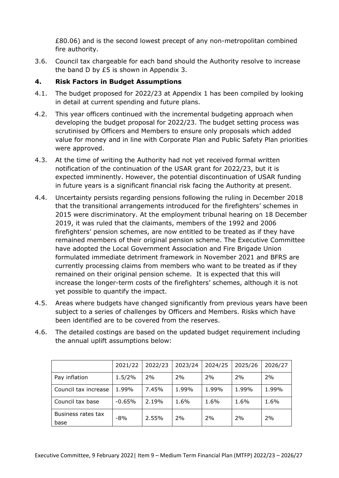£80.06) and is the second lowest precept of any non-metropolitan combined fire authority.

3.6. Council tax chargeable for each band should the Authority resolve to increase the band D by £5 is shown in Appendix 3.

## **4. Risk Factors in Budget Assumptions**

- 4.1. The budget proposed for 2022/23 at Appendix 1 has been compiled by looking in detail at current spending and future plans.
- 4.2. This year officers continued with the incremental budgeting approach when developing the budget proposal for 2022/23. The budget setting process was scrutinised by Officers and Members to ensure only proposals which added value for money and in line with Corporate Plan and Public Safety Plan priorities were approved.
- 4.3. At the time of writing the Authority had not yet received formal written notification of the continuation of the USAR grant for 2022/23, but it is expected imminently. However, the potential discontinuation of USAR funding in future years is a significant financial risk facing the Authority at present.
- 4.4. Uncertainty persists regarding pensions following the ruling in December 2018 that the transitional arrangements introduced for the firefighters' schemes in 2015 were discriminatory. At the employment tribunal hearing on 18 December 2019, it was ruled that the claimants, members of the 1992 and 2006 firefighters' pension schemes, are now entitled to be treated as if they have remained members of their original pension scheme. The Executive Committee have adopted the Local Government Association and Fire Brigade Union formulated immediate detriment framework in November 2021 and BFRS are currently processing claims from members who want to be treated as if they remained on their original pension scheme. It is expected that this will increase the longer-term costs of the firefighters' schemes, although it is not yet possible to quantify the impact.
- 4.5. Areas where budgets have changed significantly from previous years have been subject to a series of challenges by Officers and Members. Risks which have been identified are to be covered from the reserves.
- 4.6. The detailed costings are based on the updated budget requirement including the annual uplift assumptions below:

|                            | 2021/22  | 2022/23 | 2023/24 | 2024/25 | 2025/26 | 2026/27 |
|----------------------------|----------|---------|---------|---------|---------|---------|
| Pay inflation              | 1.5/2%   | 2%      | 2%      | 2%      | 2%      | 2%      |
| Council tax increase       | 1.99%    | 7.45%   | 1.99%   | 1.99%   | 1.99%   | 1.99%   |
| Council tax base           | $-0.65%$ | 2.19%   | 1.6%    | 1.6%    | 1.6%    | 1.6%    |
| Business rates tax<br>base | -8%      | 2.55%   | 2%      | 2%      | 2%      | 2%      |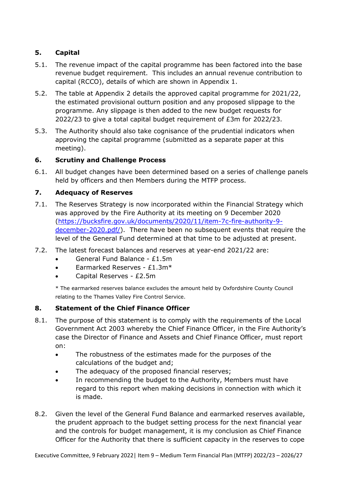# **5. Capital**

- 5.1. The revenue impact of the capital programme has been factored into the base revenue budget requirement. This includes an annual revenue contribution to capital (RCCO), details of which are shown in Appendix 1.
- 5.2. The table at Appendix 2 details the approved capital programme for 2021/22, the estimated provisional outturn position and any proposed slippage to the programme. Any slippage is then added to the new budget requests for 2022/23 to give a total capital budget requirement of £3m for 2022/23.
- 5.3. The Authority should also take cognisance of the prudential indicators when approving the capital programme (submitted as a separate paper at this meeting).

## **6. Scrutiny and Challenge Process**

6.1. All budget changes have been determined based on a series of challenge panels held by officers and then Members during the MTFP process.

# **7. Adequacy of Reserves**

- 7.1. The Reserves Strategy is now incorporated within the Financial Strategy which was approved by the Fire Authority at its meeting on 9 December 2020 [\(https://bucksfire.gov.uk/documents/2020/11/item-7c-fire-authority-9](https://bucksfire.gov.uk/documents/2020/11/item-7c-fire-authority-9-december-2020.pdf/) [december-2020.pdf/\)](https://bucksfire.gov.uk/documents/2020/11/item-7c-fire-authority-9-december-2020.pdf/). There have been no subsequent events that require the level of the General Fund determined at that time to be adjusted at present.
- 7.2. The latest forecast balances and reserves at year-end 2021/22 are:
	- General Fund Balance £1.5m
	- Earmarked Reserves £1.3m\*
	- Capital Reserves £2.5m

\* The earmarked reserves balance excludes the amount held by Oxfordshire County Council relating to the Thames Valley Fire Control Service.

## **8. Statement of the Chief Finance Officer**

- 8.1. The purpose of this statement is to comply with the requirements of the Local Government Act 2003 whereby the Chief Finance Officer, in the Fire Authority's case the Director of Finance and Assets and Chief Finance Officer, must report on:
	- The robustness of the estimates made for the purposes of the calculations of the budget and;
	- The adequacy of the proposed financial reserves;
	- In recommending the budget to the Authority, Members must have regard to this report when making decisions in connection with which it is made.
- 8.2. Given the level of the General Fund Balance and earmarked reserves available, the prudent approach to the budget setting process for the next financial year and the controls for budget management, it is my conclusion as Chief Finance Officer for the Authority that there is sufficient capacity in the reserves to cope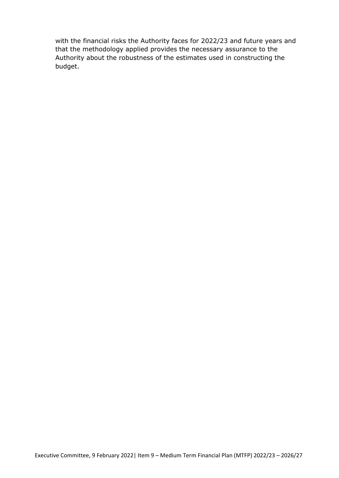with the financial risks the Authority faces for 2022/23 and future years and that the methodology applied provides the necessary assurance to the Authority about the robustness of the estimates used in constructing the budget.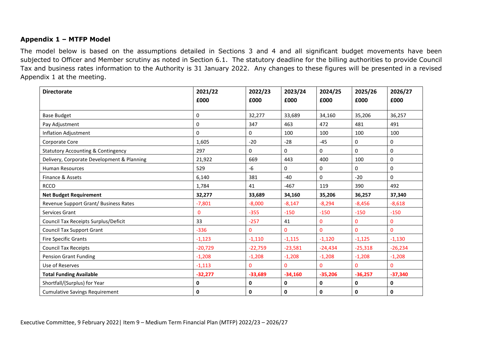#### **Appendix 1 – MTFP Model**

The model below is based on the assumptions detailed in Sections 3 and 4 and all significant budget movements have been subjected to Officer and Member scrutiny as noted in Section 6.1. The statutory deadline for the billing authorities to provide Council Tax and business rates information to the Authority is 31 January 2022. Any changes to these figures will be presented in a revised Appendix 1 at the meeting.

| <b>Directorate</b>                            | 2021/22     | 2022/23   | 2023/24   | 2024/25      | 2025/26   | 2026/27     |
|-----------------------------------------------|-------------|-----------|-----------|--------------|-----------|-------------|
|                                               | £000        | £000      | £000      | £000         | £000      | £000        |
|                                               |             |           |           |              |           |             |
| <b>Base Budget</b>                            | 0           | 32,277    | 33,689    | 34,160       | 35,206    | 36,257      |
| Pay Adjustment                                | 0           | 347       | 463       | 472          | 481       | 491         |
| Inflation Adjustment                          | 0           | 0         | 100       | 100          | 100       | 100         |
| Corporate Core                                | 1,605       | $-20$     | $-28$     | $-45$        | 0         | 0           |
| <b>Statutory Accounting &amp; Contingency</b> | 297         | 0         | 0         | 0            | 0         | $\mathbf 0$ |
| Delivery, Corporate Development & Planning    | 21,922      | 669       | 443       | 400          | 100       | 0           |
| <b>Human Resources</b>                        | 529         | $-6$      | 0         | 0            | $\Omega$  | $\mathbf 0$ |
| Finance & Assets                              | 6,140       | 381       | $-40$     | 0            | $-20$     | $\mathbf 0$ |
| <b>RCCO</b>                                   | 1,784       | 41        | $-467$    | 119          | 390       | 492         |
| <b>Net Budget Requirement</b>                 | 32,277      | 33,689    | 34,160    | 35,206       | 36,257    | 37,340      |
| Revenue Support Grant/ Business Rates         | $-7,801$    | $-8,000$  | $-8,147$  | $-8,294$     | $-8,456$  | $-8,618$    |
| Services Grant                                | $\mathbf 0$ | $-355$    | $-150$    | $-150$       | $-150$    | $-150$      |
| Council Tax Receipts Surplus/Deficit          | 33          | $-257$    | 41        | $\mathbf 0$  | 0         | 0           |
| <b>Council Tax Support Grant</b>              | $-336$      | $\Omega$  | 0         | $\mathbf{0}$ | $\Omega$  | $\Omega$    |
| <b>Fire Specific Grants</b>                   | $-1,123$    | $-1,110$  | $-1,115$  | $-1,120$     | $-1,125$  | $-1,130$    |
| <b>Council Tax Receipts</b>                   | $-20,729$   | $-22,759$ | $-23,581$ | $-24,434$    | $-25,318$ | $-26,234$   |
| <b>Pension Grant Funding</b>                  | $-1,208$    | $-1,208$  | $-1,208$  | $-1,208$     | $-1,208$  | $-1,208$    |
| Use of Reserves                               | $-1,113$    | 0         | 0         | $\mathbf{0}$ | $\Omega$  | $\Omega$    |
| <b>Total Funding Available</b>                | $-32,277$   | $-33,689$ | $-34,160$ | $-35,206$    | $-36,257$ | $-37,340$   |
| Shortfall/(Surplus) for Year                  | 0           | 0         | 0         | $\pmb{0}$    | 0         | $\mathbf 0$ |
| <b>Cumulative Savings Requirement</b>         | 0           | 0         | 0         | $\mathbf{0}$ | 0         | 0           |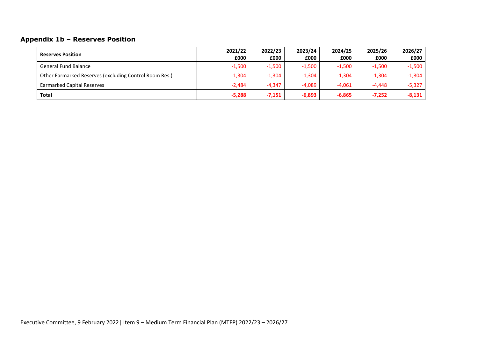# **Appendix 1b – Reserves Position**

| <b>Reserves Position</b>                               | 2021/22  | 2022/23  | 2023/24  | 2024/25  | 2025/26  | 2026/27  |
|--------------------------------------------------------|----------|----------|----------|----------|----------|----------|
|                                                        | £000     | £000     | £000     | £000     | £000     | £000     |
| <b>General Fund Balance</b>                            | $-1,500$ | $-1,500$ | $-1.500$ | $-1,500$ | $-1,500$ | $-1,500$ |
| Other Earmarked Reserves (excluding Control Room Res.) | $-1,304$ | $-1,304$ | $-1,304$ | $-1,304$ | $-1,304$ | $-1,304$ |
| <b>Earmarked Capital Reserves</b>                      | $-2,484$ | $-4.347$ | $-4,089$ | $-4.061$ | $-4.448$ | $-5,327$ |
| Total                                                  | $-5,288$ | $-7,151$ | $-6,893$ | $-6,865$ | $-7,252$ | $-8,131$ |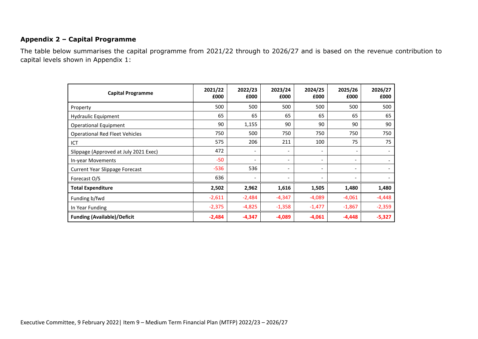#### **Appendix 2 – Capital Programme**

The table below summarises the capital programme from 2021/22 through to 2026/27 and is based on the revenue contribution to capital levels shown in Appendix 1:

| <b>Capital Programme</b>              | 2021/22<br>£000 | 2022/23<br>£000          | 2023/24<br>£000              | 2024/25<br>£000          | 2025/26<br>£000              | 2026/27<br>£000 |
|---------------------------------------|-----------------|--------------------------|------------------------------|--------------------------|------------------------------|-----------------|
| Property                              | 500             | 500                      | 500                          | 500                      | 500                          | 500             |
| Hydraulic Equipment                   | 65              | 65                       | 65                           | 65                       | 65                           | 65              |
| <b>Operational Equipment</b>          | 90              | 1,155                    | 90                           | 90                       | 90                           | 90              |
| <b>Operational Red Fleet Vehicles</b> | 750             | 500                      | 750                          | 750                      | 750                          | 750             |
| ICT                                   | 575             | 206                      | 211                          | 100                      | 75                           | 75              |
| Slippage (Approved at July 2021 Exec) | 472             | $\overline{\phantom{a}}$ | $\overline{\phantom{a}}$     | $\overline{\phantom{a}}$ | $\overline{\phantom{a}}$     |                 |
| In-year Movements                     | $-50$           | $\overline{\phantom{a}}$ | $\overline{\phantom{a}}$     | $\overline{\phantom{a}}$ | $\overline{\phantom{a}}$     |                 |
| <b>Current Year Slippage Forecast</b> | $-536$          | 536                      | $\overline{\phantom{a}}$     | $\overline{\phantom{0}}$ | $\qquad \qquad \blacksquare$ |                 |
| Forecast O/S                          | 636             |                          | $\qquad \qquad \blacksquare$ | $\overline{\phantom{a}}$ |                              |                 |
| <b>Total Expenditure</b>              | 2,502           | 2,962                    | 1,616                        | 1,505                    | 1,480                        | 1,480           |
| Funding b/fwd                         | $-2,611$        | $-2,484$                 | $-4,347$                     | $-4,089$                 | $-4,061$                     | $-4,448$        |
| In Year Funding                       | $-2,375$        | $-4,825$                 | $-1,358$                     | $-1,477$                 | $-1,867$                     | $-2,359$        |
| <b>Funding (Available)/Deficit</b>    | $-2,484$        | -4,347                   | $-4,089$                     | $-4,061$                 | $-4,448$                     | $-5,327$        |